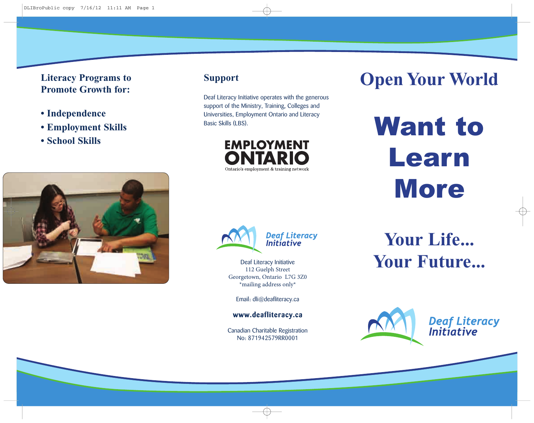**Literacy Programs to Promote Growth for:**

- **Independence**
- **• Employment Skills**
- **• School Skills**



Deaf Literacy Initiative operates with the generous support of the Ministry, Training, Colleges and Universities, Employment Ontario and Literacy Basic Skills (LBS).

> **EMPLOYMENT** ГАРІ Ontario's employment & training network

# **Open Your World**

Want to Learn **More** 





Deaf Literacy Initiative 112 Guelph Street Georgetown, Ontario L7G 3Z0 \*mailing address only\*

Email: dli@deafliteracy.ca

**www.deafliteracy.ca**

Canadian Charitable Registration No: 871942579RR0001

**Your Life... Your Future...**